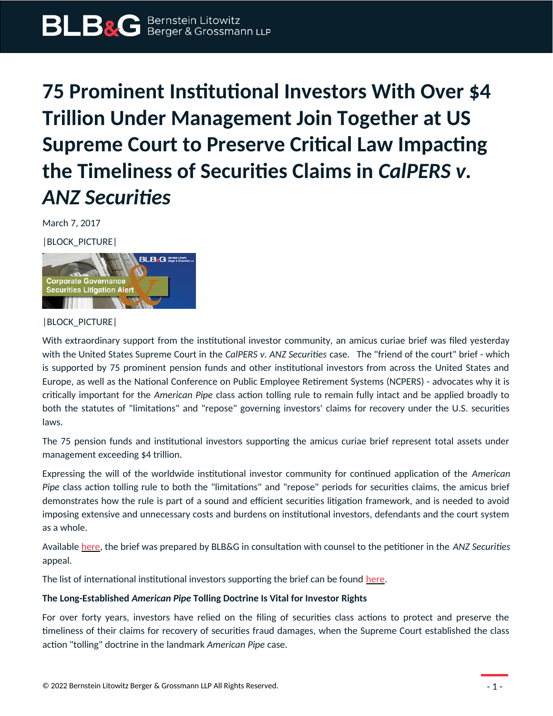## **75 Prominent Institutional Investors With Over \$4 Trillion Under Management Join Together at US Supreme Court to Preserve Critical Law Impacting the Timeliness of Securities Claims in** *CalPERS v. ANZ Securities*

March 7, 2017

|BLOCK\_PICTURE|



## |BLOCK\_PICTURE|

With extraordinary support from the institutional investor community, an amicus curiae brief was filed yesterday with the United States Supreme Court in the *CalPERS v. ANZ Securities* case. The "friend of the court" brief - which is supported by 75 prominent pension funds and other institutional investors from across the United States and Europe, as well as the National Conference on Public Employee Retirement Systems (NCPERS) - advocates why it is critically important for the *American Pipe* class action tolling rule to remain fully intact and be applied broadly to both the statutes of "limitations" and "repose" governing investors' claims for recovery under the U.S. securities laws.

The 75 pension funds and institutional investors supporting the amicus curiae brief represent total assets under management exceeding \$4 trillion.

Expressing the will of the worldwide institutional investor community for continued application of the *American Pipe* class action tolling rule to both the "limitations" and "repose" periods for securities claims, the amicus brief demonstrates how the rule is part of a sound and efficient securities litigation framework, and is needed to avoid imposing extensive and unnecessary costs and burdens on institutional investors, defendants and the court system as a whole.

Available [here,](https://protect-us.mimecast.com/s/5JZMB4UzYOotN) the brief was prepared by BLB&G in consultation with counsel to the petitioner in the *ANZ Securities* appeal.

The list of international institutional investors supporting the brief can be found [here](https://protect-us.mimecast.com/s/g5YkBmsG5d0FK).

## **The Long-Established** *American Pipe* **Tolling Doctrine Is Vital for Investor Rights**

For over forty years, investors have relied on the filing of securities class actions to protect and preserve the timeliness of their claims for recovery of securities fraud damages, when the Supreme Court established the class action "tolling" doctrine in the landmark *American Pipe* case.